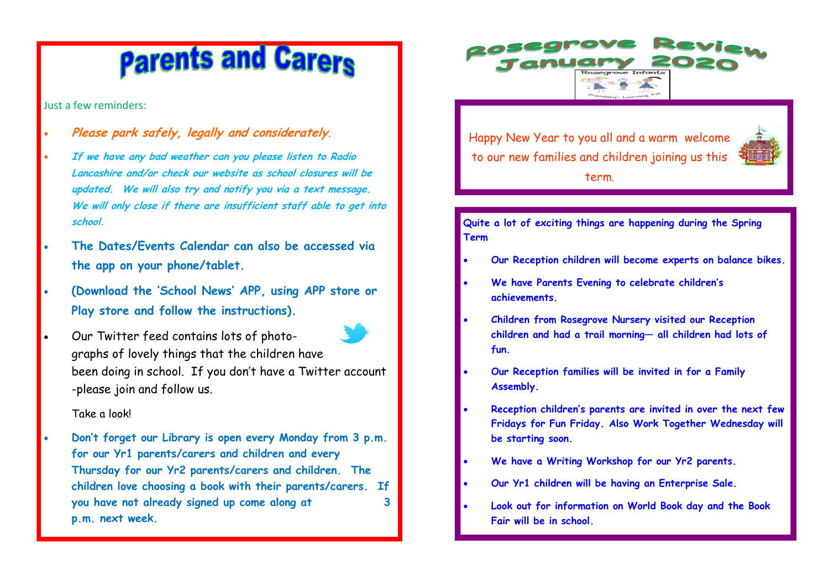# **Parents and Carers**

Just a few reminders:

- **Please park safely, legally and considerately.**
- **If we have any bad weather can you please listen to Radio Lancashire and/or check our website as school closures will be updated. We will also try and notify you via a text message. We will only close if there are insufficient staff able to get into school.**
- **The Dates/Events Calendar can also be accessed via the app on your phone/tablet.**
- **(Download the 'School News' APP, using APP store orPlay store and follow the instructions).**



graphs of lovely things that the children have been doing in school. If you don't have a Twitter account -please join and follow us.

# Take a look!

• **Don't forget our Library is open every Monday from 3 p.m. for our Yr1 parents/carers and children and every Thursday for our Yr2 parents/carers and children. The children love choosing a book with their parents/carers. If you have not already signed up come along at 3 p.m. next week.** 

Happy New Year to you all and a warm welcome to our new families and children joining us this term.

**Quite a lot of exciting things are happening during the Spring Term** 

- **Our Reception children will become experts on balance bikes.**
- **We have Parents Evening to celebrate children's achievements.**
- **Children from Rosegrove Nursery visited our Reception children and had a trail morning— all children had lots of fun.**
- **Our Reception families will be invited in for a Family Assembly.**
- **Reception children's parents are invited in over the next few Fridays for Fun Friday. Also Work Together Wednesday will be starting soon.**
- **We have a Writing Workshop for our Yr2 parents.**
- **Our Yr1 children will be having an Enterprise Sale.**
- **Look out for information on World Book day and the Book Fair will be in school.**